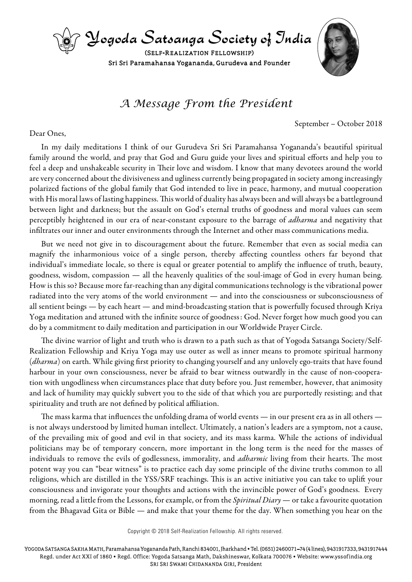

## *A Message From the President*

September – October 2018

## Dear Ones,

In my daily meditations I think of our Gurudeva Sri Sri Paramahansa Yogananda's beautiful spiritual family around the world, and pray that God and Guru guide your lives and spiritual efforts and help you to feel a deep and unshakeable security in Their love and wisdom. I know that many devotees around the world are very concerned about the divisiveness and ugliness currently being propagated in society among increasingly polarized factions of the global family that God intended to live in peace, harmony, and mutual cooperation with His moral laws of lasting happiness. This world of duality has always been and will always be a battleground between light and darkness; but the assault on God's eternal truths of goodness and moral values can seem perceptibly heightened in our era of near-constant exposure to the barrage of *adharma* and negativity that infiltrates our inner and outer environments through the Internet and other mass communications media.

But we need not give in to discouragement about the future. Remember that even as social media can magnify the inharmonious voice of a single person, thereby affecting countless others far beyond that individual's immediate locale, so there is equal or greater potential to amplify the influence of truth, beauty, goodness, wisdom, compassion — all the heavenly qualities of the soul-image of God in every human being. How is this so? Because more far-reaching than any digital communications technology is the vibrational power radiated into the very atoms of the world environment — and into the consciousness or subconsciousness of all sentient beings — by each heart — and mind-broadcasting station that is powerfully focused through Kriya Yoga meditation and attuned with the infinite source of goodness : God. Never forget how much good you can do by a commitment to daily meditation and participation in our Worldwide Prayer Circle.

The divine warrior of light and truth who is drawn to a path such as that of Yogoda Satsanga Society/Self-Realization Fellowship and Kriya Yoga may use outer as well as inner means to promote spiritual harmony (*dharma*) on earth. While giving first priority to changing yourself and any unlovely ego-traits that have found harbour in your own consciousness, never be afraid to bear witness outwardly in the cause of non-cooperation with ungodliness when circumstances place that duty before you. Just remember, however, that animosity and lack of humility may quickly subvert you to the side of that which you are purportedly resisting; and that spirituality and truth are not defined by political affiliation.

The mass karma that influences the unfolding drama of world events — in our present era as in all others is not always understood by limited human intellect. Ultimately, a nation's leaders are a symptom, not a cause, of the prevailing mix of good and evil in that society, and its mass karma. While the actions of individual politicians may be of temporary concern, more important in the long term is the need for the masses of individuals to remove the evils of godlessness, immorality, and *adharmic* living from their hearts. The most potent way you can "bear witness" is to practice each day some principle of the divine truths common to all religions, which are distilled in the YSS/SRF teachings. This is an active initiative you can take to uplift your consciousness and invigorate your thoughts and actions with the invincible power of God's goodness. Every morning, read a little from the Lessons, for example, or from the *Spiritual Diary* — or take a favourite quotation from the Bhagavad Gita or Bible — and make that your theme for the day. When something you hear on the

Copyright © 2018 Self-Realization Fellowship. All rights reserved.

Yogoda Satsanga Sakha Math, Paramahansa Yogananda Path, Ranchi 834001, Jharkhand • Tel. (0651) 2460071–74 (4 lines), 9431917333, 9431917444 Regd. under Act XXI of 1860 • Regd. Office: Yogoda Satsanga Math, Dakshineswar, Kolkata 700076 • website: www.yssof india.org Sri Sri Swami Chidananda Giri, President